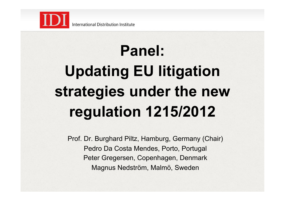

## **Panel: Updating EU litigation strategies under the new regulation 1215/2012**

Prof. Dr. Burghard Piltz, Hamburg, Germany (Chair) Pedro Da Costa Mendes, Porto, Portugal Peter Gregersen, Copenhagen, Denmark Magnus Nedström, Malmö, Sweden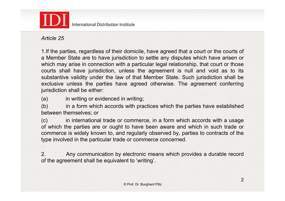

International Distribution Institute

*Article 25* 

1.If the parties, regardless of their domicile, have agreed that a court or the courts of a Member State are to have jurisdiction to settle any disputes which have arisen or which may arise in connection with a particular legal relationship, that court or those courts shall have jurisdiction, unless the agreement is null and void as to its substantive validity under the law of that Member State. Such jurisdiction shall be exclusive unless the parties have agreed otherwise. The agreement conferring jurisdiction shall be either:

(a) in writing or evidenced in writing;

(b) in a form which accords with practices which the parties have established between themselves; or

(c) in international trade or commerce, in a form which accords with a usage of which the parties are or ought to have been aware and which in such trade or commerce is widely known to, and regularly observed by, parties to contracts of the type involved in the particular trade or commerce concerned.

2. Any communication by electronic means which provides a durable record of the agreement shall be equivalent to 'writing'.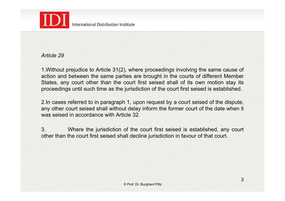

## *Article 29*

1.Without prejudice to Article 31(2), where proceedings involving the same cause of action and between the same parties are brought in the courts of different Member States, any court other than the court first seised shall of its own motion stay its proceedings until such time as the jurisdiction of the court first seised is established.

2.In cases referred to in paragraph 1, upon request by a court seised of the dispute, any other court seised shall without delay inform the former court of the date when it was seised in accordance with Article 32.

3. Where the jurisdiction of the court first seised is established, any court other than the court first seised shall decline jurisdiction in favour of that court.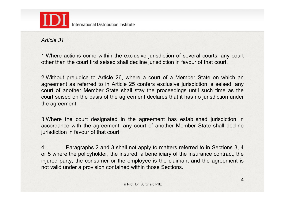

*Article 31* 

1.Where actions come within the exclusive jurisdiction of several courts, any court other than the court first seised shall decline jurisdiction in favour of that court.

2.Without prejudice to Article 26, where a court of a Member State on which an agreement as referred to in Article 25 confers exclusive jurisdiction is seised, any court of another Member State shall stay the proceedings until such time as the court seised on the basis of the agreement declares that it has no jurisdiction under the agreement.

3.Where the court designated in the agreement has established jurisdiction in accordance with the agreement, any court of another Member State shall decline jurisdiction in favour of that court.

4. Paragraphs 2 and 3 shall not apply to matters referred to in Sections 3, 4 or 5 where the policyholder, the insured, a beneficiary of the insurance contract, the injured party, the consumer or the employee is the claimant and the agreement is not valid under a provision contained within those Sections.